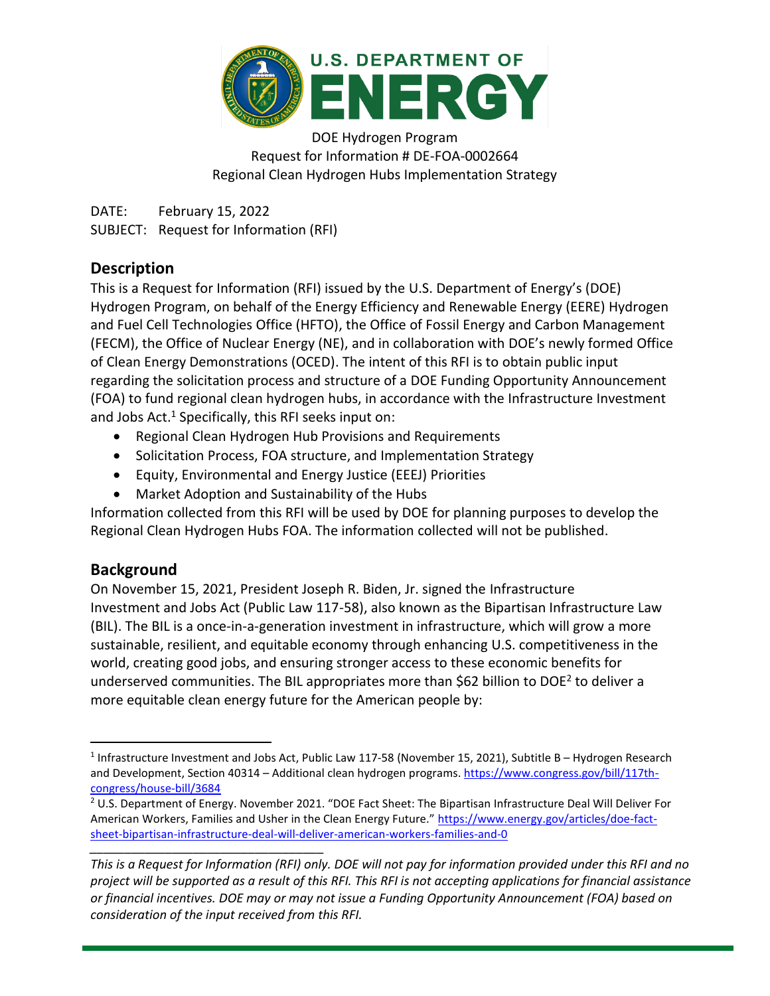

DOE Hydrogen Program Request for Information # DE-FOA-0002664 Regional Clean Hydrogen Hubs Implementation Strategy

DATE: February 15, 2022 SUBJECT: Request for Information (RFI)

## **Description**

This is a Request for Information (RFI) issued by the U.S. Department of Energy's (DOE) Hydrogen Program, on behalf of the Energy Efficiency and Renewable Energy (EERE) Hydrogen and Fuel Cell Technologies Office (HFTO), the Office of Fossil Energy and Carbon Management (FECM), the Office of Nuclear Energy (NE), and in collaboration with DOE's newly formed Office of Clean Energy Demonstrations (OCED). The intent of this RFI is to obtain public input regarding the solicitation process and structure of a DOE Funding Opportunity Announcement (FOA) to fund regional clean hydrogen hubs, in accordance with the Infrastructure Investment and Jobs Act. <sup>1</sup> Specifically, this RFI seeks input on:

- Regional Clean Hydrogen Hub Provisions and Requirements
- Solicitation Process, FOA structure, and Implementation Strategy
- Equity, Environmental and Energy Justice (EEEJ) Priorities
- Market Adoption and Sustainability of the Hubs

Information collected from this RFI will be used by DOE for planning purposes to develop the Regional Clean Hydrogen Hubs FOA. The information collected will not be published.

## **Background**

On November 15, 2021, President Joseph R. Biden, Jr. signed the Infrastructure Investment and Jobs Act (Public Law 117-58), also known as the Bipartisan Infrastructure Law (BIL). The BIL is a once-in-a-generation investment in infrastructure, which will grow a more sustainable, resilient, and equitable economy through enhancing U.S. competitiveness in the world, creating good jobs, and ensuring stronger access to these economic benefits for underserved communities. The BIL appropriates more than \$62 billion to DOE<sup>2</sup> to deliver a more equitable clean energy future for the American people by:

<sup>&</sup>lt;sup>1</sup> Infrastructure Investment and Jobs Act, Public Law 117-58 (November 15, 2021), Subtitle B – Hydrogen Research and Development, Section 40314 - Additional clean hydrogen programs. [https://www.congress.gov/bill/117th](https://www.congress.gov/bill/117th-congress/house-bill/3684)[congress/house-bill/3684](https://www.congress.gov/bill/117th-congress/house-bill/3684)

*\_\_\_\_\_\_\_\_\_\_\_\_\_\_\_\_\_\_\_\_\_\_\_\_\_\_\_\_\_\_\_\_\_\_* <sup>2</sup> U.S. Department of Energy. November 2021. "DOE Fact Sheet: The Bipartisan Infrastructure Deal Will Deliver For American Workers, Families and Usher in the Clean Energy Future." [https://www.energy.gov/articles/doe-fact](https://www.energy.gov/articles/doe-fact-sheet-bipartisan-infrastructure-deal-will-deliver-american-workers-families-and-0)[sheet-bipartisan-infrastructure-deal-will-deliver-american-workers-families-and-0](https://www.energy.gov/articles/doe-fact-sheet-bipartisan-infrastructure-deal-will-deliver-american-workers-families-and-0)

*This is a Request for Information (RFI) only. DOE will not pay for information provided under this RFI and no project will be supported as a result of this RFI. This RFI is not accepting applications for financial assistance or financial incentives. DOE may or may not issue a Funding Opportunity Announcement (FOA) based on consideration of the input received from this RFI.*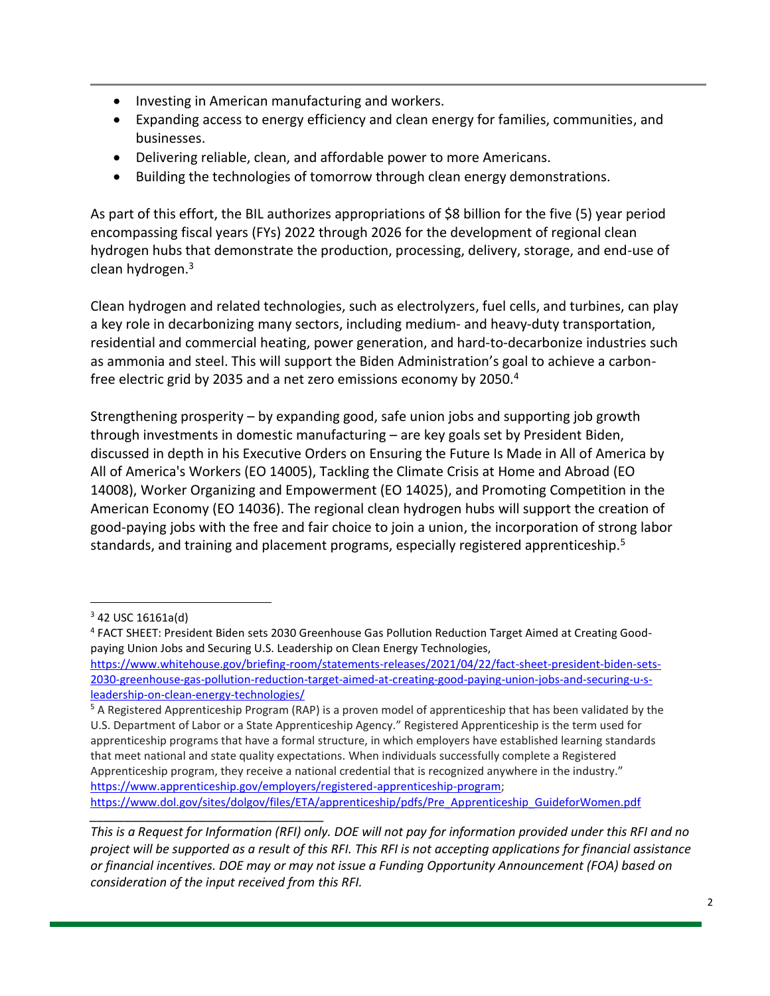- Investing in American manufacturing and workers.
- Expanding access to energy efficiency and clean energy for families, communities, and businesses.
- Delivering reliable, clean, and affordable power to more Americans.
- Building the technologies of tomorrow through clean energy demonstrations.

As part of this effort, the BIL authorizes appropriations of \$8 billion for the five (5) year period encompassing fiscal years (FYs) 2022 through 2026 for the development of regional clean hydrogen hubs that demonstrate the production, processing, delivery, storage, and end-use of clean hydrogen.<sup>3</sup>

Clean hydrogen and related technologies, such as electrolyzers, fuel cells, and turbines, can play a key role in decarbonizing many sectors, including medium- and heavy-duty transportation, residential and commercial heating, power generation, and hard-to-decarbonize industries such as ammonia and steel. This will support the Biden Administration's goal to achieve a carbonfree electric grid by 2035 and a net zero emissions economy by 2050.<sup>4</sup>

Strengthening prosperity – by expanding good, safe union jobs and supporting job growth through investments in domestic manufacturing – are key goals set by President Biden, discussed in depth in his Executive Orders on Ensuring the Future Is Made in All of America by All of America's Workers (EO 14005), Tackling the Climate Crisis at Home and Abroad (EO 14008), Worker Organizing and Empowerment (EO 14025), and Promoting Competition in the American Economy (EO 14036). The regional clean hydrogen hubs will support the creation of good-paying jobs with the free and fair choice to join a union, the incorporation of strong labor standards, and training and placement programs, especially registered apprenticeship.<sup>5</sup>

 $342$  USC 16161a(d)

<sup>4</sup> FACT SHEET: President Biden sets 2030 Greenhouse Gas Pollution Reduction Target Aimed at Creating Goodpaying Union Jobs and Securing U.S. Leadership on Clean Energy Technologies,

[https://www.whitehouse.gov/briefing-room/statements-releases/2021/04/22/fact-sheet-president-biden-sets-](https://www.whitehouse.gov/briefing-room/statements-releases/2021/04/22/fact-sheet-president-biden-sets-2030-greenhouse-gas-pollution-reduction-target-aimed-at-creating-good-paying-union-jobs-and-securing-u-s-leadership-on-clean-energy-technologies/)[2030-greenhouse-gas-pollution-reduction-target-aimed-at-creating-good-paying-union-jobs-and-securing-u-s](https://www.whitehouse.gov/briefing-room/statements-releases/2021/04/22/fact-sheet-president-biden-sets-2030-greenhouse-gas-pollution-reduction-target-aimed-at-creating-good-paying-union-jobs-and-securing-u-s-leadership-on-clean-energy-technologies/)[leadership-on-clean-energy-technologies/](https://www.whitehouse.gov/briefing-room/statements-releases/2021/04/22/fact-sheet-president-biden-sets-2030-greenhouse-gas-pollution-reduction-target-aimed-at-creating-good-paying-union-jobs-and-securing-u-s-leadership-on-clean-energy-technologies/)

<sup>5</sup> A Registered Apprenticeship Program (RAP) is a proven model of apprenticeship that has been validated by the U.S. Department of Labor or a State Apprenticeship Agency." Registered Apprenticeship is the term used for apprenticeship programs that have a formal structure, in which employers have established learning standards that meet national and state quality expectations. When individuals successfully complete a Registered Apprenticeship program, they receive a national credential that is recognized anywhere in the industry." [https://www.apprenticeship.gov/employers/registered-apprenticeship-program;](https://www.apprenticeship.gov/employers/registered-apprenticeship-program) [https://www.dol.gov/sites/dolgov/files/ETA/apprenticeship/pdfs/Pre\\_Apprenticeship\\_GuideforWomen.pdf](https://www.dol.gov/sites/dolgov/files/ETA/apprenticeship/pdfs/Pre_Apprenticeship_GuideforWomen.pdf)

*\_\_\_\_\_\_\_\_\_\_\_\_\_\_\_\_\_\_\_\_\_\_\_\_\_\_\_\_\_\_\_\_\_\_ This is a Request for Information (RFI) only. DOE will not pay for information provided under this RFI and no project will be supported as a result of this RFI. This RFI is not accepting applications for financial assistance or financial incentives. DOE may or may not issue a Funding Opportunity Announcement (FOA) based on consideration of the input received from this RFI.*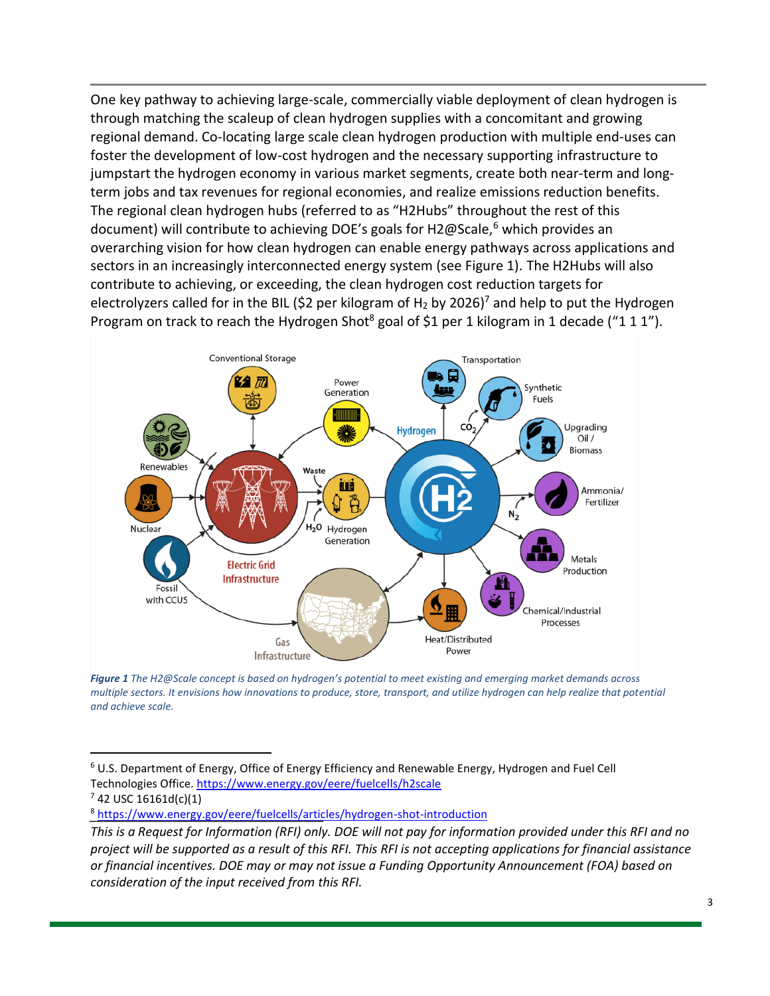One key pathway to achieving large-scale, commercially viable deployment of clean hydrogen is through matching the scaleup of clean hydrogen supplies with a concomitant and growing regional demand. Co-locating large scale clean hydrogen production with multiple end-uses can foster the development of low-cost hydrogen and the necessary supporting infrastructure to jumpstart the hydrogen economy in various market segments, create both near-term and longterm jobs and tax revenues for regional economies, and realize emissions reduction benefits. The regional clean hydrogen hubs (referred to as "H2Hubs" throughout the rest of this document) will contribute to achieving DOE's goals for H2@Scale,<sup>6</sup> which provides an overarching vision for how clean hydrogen can enable energy pathways across applications and sectors in an increasingly interconnected energy system (see Figure 1). The H2Hubs will also contribute to achieving, or exceeding, the clean hydrogen cost reduction targets for electrolyzers called for in the BIL (\$2 per kilogram of H<sub>2</sub> by 2026)<sup>7</sup> and help to put the Hydrogen Program on track to reach the Hydrogen Shot<sup>8</sup> goal of \$1 per 1 kilogram in 1 decade ("1 1 1").



*Figure 1 The H2@Scale concept is based on hydrogen's potential to meet existing and emerging market demands across multiple sectors. It envisions how innovations to produce, store, transport, and utilize hydrogen can help realize that potential and achieve scale.*

 $6$  U.S. Department of Energy, Office of Energy Efficiency and Renewable Energy, Hydrogen and Fuel Cell Technologies Office[. https://www.energy.gov/eere/fuelcells/h2scale](https://www.energy.gov/eere/fuelcells/h2scale)

 $7$  42 USC 16161d(c)(1)

<sup>&</sup>lt;sup>8</sup> <https://www.energy.gov/eere/fuelcells/articles/hydrogen-shot-introduction>

*This is a Request for Information (RFI) only. DOE will not pay for information provided under this RFI and no project will be supported as a result of this RFI. This RFI is not accepting applications for financial assistance or financial incentives. DOE may or may not issue a Funding Opportunity Announcement (FOA) based on consideration of the input received from this RFI.*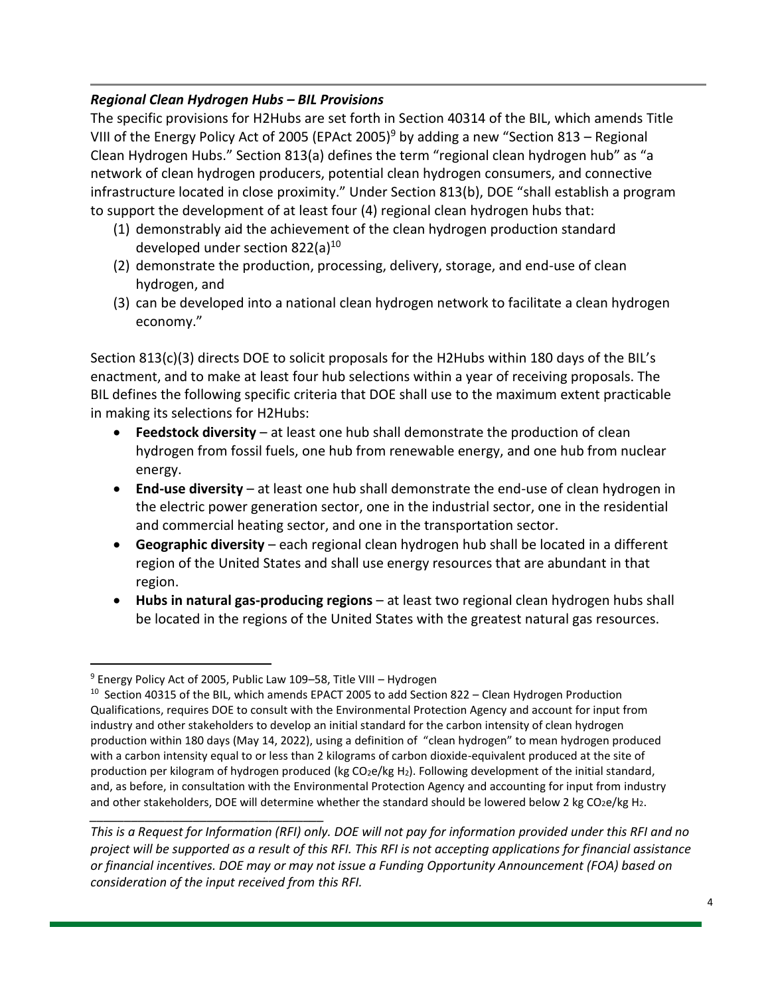### *Regional Clean Hydrogen Hubs – BIL Provisions*

The specific provisions for H2Hubs are set forth in Section 40314 of the BIL, which amends Title VIII of the Energy Policy Act of 2005 (EPAct 2005)<sup>9</sup> by adding a new "Section 813 – Regional Clean Hydrogen Hubs." Section 813(a) defines the term "regional clean hydrogen hub" as "a network of clean hydrogen producers, potential clean hydrogen consumers, and connective infrastructure located in close proximity." Under Section 813(b), DOE "shall establish a program to support the development of at least four (4) regional clean hydrogen hubs that:

- (1) demonstrably aid the achievement of the clean hydrogen production standard developed under section 822(a) $10<sup>10</sup>$
- (2) demonstrate the production, processing, delivery, storage, and end-use of clean hydrogen, and
- (3) can be developed into a national clean hydrogen network to facilitate a clean hydrogen economy."

Section 813(c)(3) directs DOE to solicit proposals for the H2Hubs within 180 days of the BIL's enactment, and to make at least four hub selections within a year of receiving proposals. The BIL defines the following specific criteria that DOE shall use to the maximum extent practicable in making its selections for H2Hubs:

- **Feedstock diversity** at least one hub shall demonstrate the production of clean hydrogen from fossil fuels, one hub from renewable energy, and one hub from nuclear energy.
- **End-use diversity** at least one hub shall demonstrate the end-use of clean hydrogen in the electric power generation sector, one in the industrial sector, one in the residential and commercial heating sector, and one in the transportation sector.
- **Geographic diversity** each regional clean hydrogen hub shall be located in a different region of the United States and shall use energy resources that are abundant in that region.
- **Hubs in natural gas-producing regions** at least two regional clean hydrogen hubs shall be located in the regions of the United States with the greatest natural gas resources.

*This is a Request for Information (RFI) only. DOE will not pay for information provided under this RFI and no project will be supported as a result of this RFI. This RFI is not accepting applications for financial assistance or financial incentives. DOE may or may not issue a Funding Opportunity Announcement (FOA) based on consideration of the input received from this RFI.*

<sup>9</sup> Energy Policy Act of 2005, Public Law 109–58, Title VIII – Hydrogen

*\_\_\_\_\_\_\_\_\_\_\_\_\_\_\_\_\_\_\_\_\_\_\_\_\_\_\_\_\_\_\_\_\_\_*  $10$  Section 40315 of the BIL, which amends EPACT 2005 to add Section 822 – Clean Hydrogen Production Qualifications, requires DOE to consult with the Environmental Protection Agency and account for input from industry and other stakeholders to develop an initial standard for the carbon intensity of clean hydrogen production within 180 days (May 14, 2022), using a definition of "clean hydrogen" to mean hydrogen produced with a carbon intensity equal to or less than 2 kilograms of carbon dioxide-equivalent produced at the site of production per kilogram of hydrogen produced (kg CO<sub>2</sub>e/kg H<sub>2</sub>). Following development of the initial standard, and, as before, in consultation with the Environmental Protection Agency and accounting for input from industry and other stakeholders, DOE will determine whether the standard should be lowered below 2 kg CO<sub>2</sub>e/kg H<sub>2</sub>.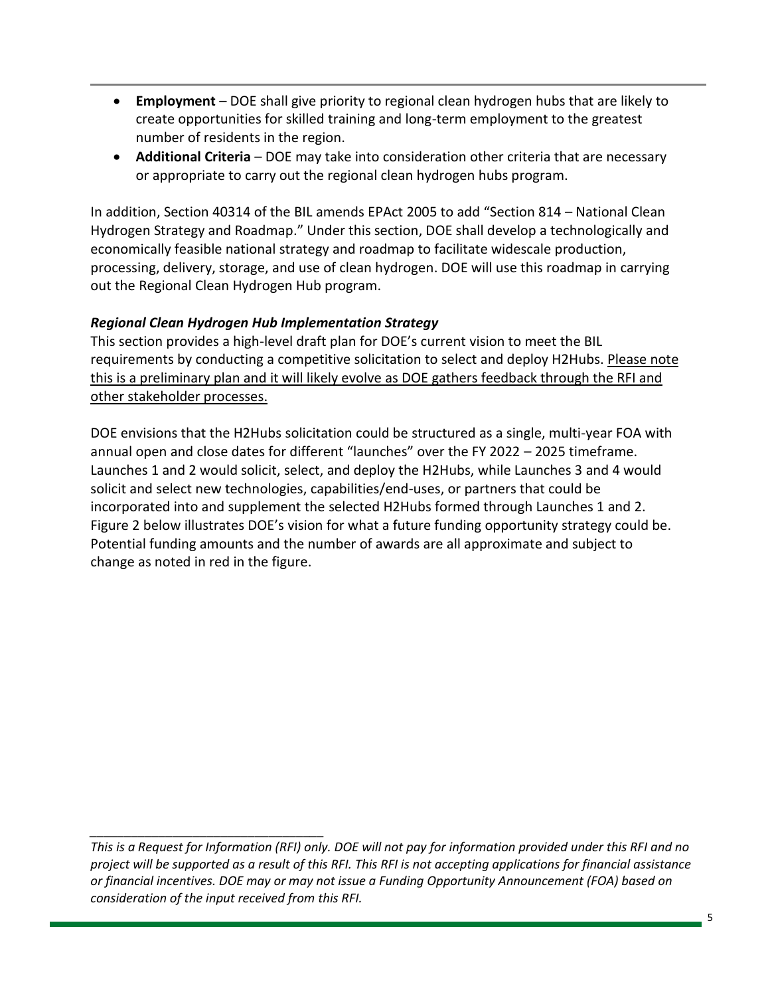- **Employment** DOE shall give priority to regional clean hydrogen hubs that are likely to create opportunities for skilled training and long-term employment to the greatest number of residents in the region.
- **Additional Criteria** DOE may take into consideration other criteria that are necessary or appropriate to carry out the regional clean hydrogen hubs program.

In addition, Section 40314 of the BIL amends EPAct 2005 to add "Section 814 – National Clean Hydrogen Strategy and Roadmap." Under this section, DOE shall develop a technologically and economically feasible national strategy and roadmap to facilitate widescale production, processing, delivery, storage, and use of clean hydrogen. DOE will use this roadmap in carrying out the Regional Clean Hydrogen Hub program.

### *Regional Clean Hydrogen Hub Implementation Strategy*

*\_\_\_\_\_\_\_\_\_\_\_\_\_\_\_\_\_\_\_\_\_\_\_\_\_\_\_\_\_\_\_\_\_\_*

This section provides a high-level draft plan for DOE's current vision to meet the BIL requirements by conducting a competitive solicitation to select and deploy H2Hubs. Please note this is a preliminary plan and it will likely evolve as DOE gathers feedback through the RFI and other stakeholder processes.

DOE envisions that the H2Hubs solicitation could be structured as a single, multi-year FOA with annual open and close dates for different "launches" over the FY 2022 – 2025 timeframe. Launches 1 and 2 would solicit, select, and deploy the H2Hubs, while Launches 3 and 4 would solicit and select new technologies, capabilities/end-uses, or partners that could be incorporated into and supplement the selected H2Hubs formed through Launches 1 and 2. Figure 2 below illustrates DOE's vision for what a future funding opportunity strategy could be. Potential funding amounts and the number of awards are all approximate and subject to change as noted in red in the figure.

*This is a Request for Information (RFI) only. DOE will not pay for information provided under this RFI and no project will be supported as a result of this RFI. This RFI is not accepting applications for financial assistance or financial incentives. DOE may or may not issue a Funding Opportunity Announcement (FOA) based on consideration of the input received from this RFI.*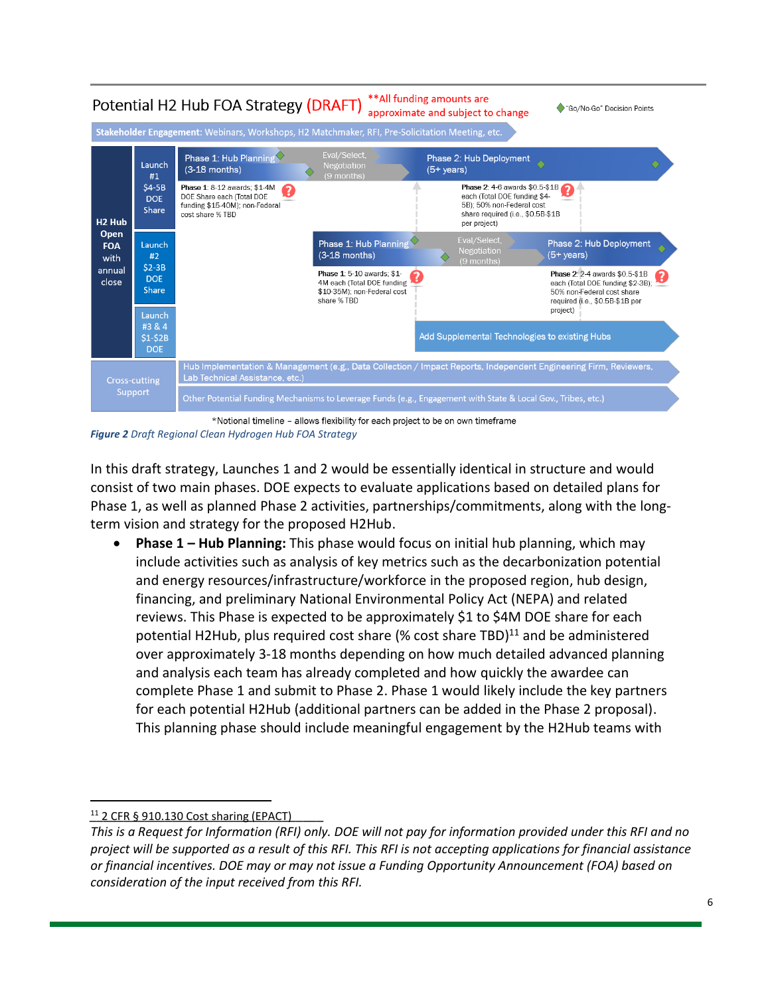

\*Notional timeline - allows flexibility for each project to be on own timeframe *Figure 2 Draft Regional Clean Hydrogen Hub FOA Strategy*

In this draft strategy, Launches 1 and 2 would be essentially identical in structure and would consist of two main phases. DOE expects to evaluate applications based on detailed plans for Phase 1, as well as planned Phase 2 activities, partnerships/commitments, along with the longterm vision and strategy for the proposed H2Hub.

• **Phase 1 – Hub Planning:** This phase would focus on initial hub planning, which may include activities such as analysis of key metrics such as the decarbonization potential and energy resources/infrastructure/workforce in the proposed region, hub design, financing, and preliminary National Environmental Policy Act (NEPA) and related reviews. This Phase is expected to be approximately \$1 to \$4M DOE share for each potential H2Hub, plus required cost share (% cost share TBD) $^{11}$  and be administered over approximately 3-18 months depending on how much detailed advanced planning and analysis each team has already completed and how quickly the awardee can complete Phase 1 and submit to Phase 2. Phase 1 would likely include the key partners for each potential H2Hub (additional partners can be added in the Phase 2 proposal). This planning phase should include meaningful engagement by the H2Hub teams with

<sup>11 2</sup> CFR § 910.130 Cost sharing (EPACT)

*This is a Request for Information (RFI) only. DOE will not pay for information provided under this RFI and no project will be supported as a result of this RFI. This RFI is not accepting applications for financial assistance or financial incentives. DOE may or may not issue a Funding Opportunity Announcement (FOA) based on consideration of the input received from this RFI.*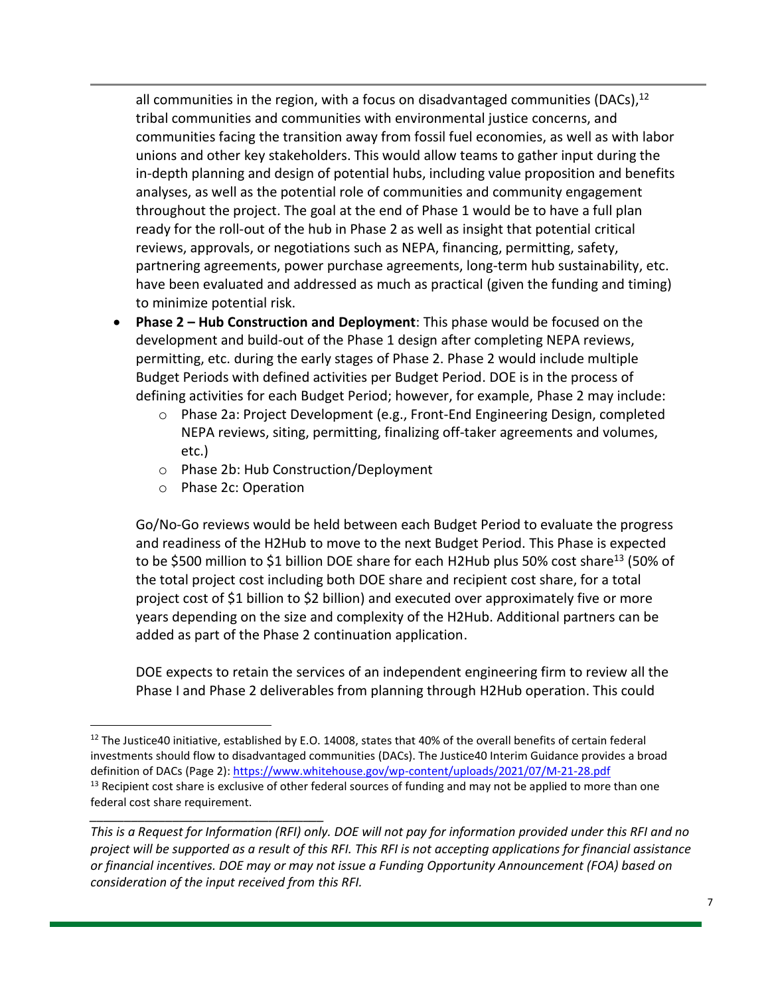all communities in the region, with a focus on disadvantaged communities (DACs),<sup>12</sup> tribal communities and communities with environmental justice concerns, and communities facing the transition away from fossil fuel economies, as well as with labor unions and other key stakeholders. This would allow teams to gather input during the in-depth planning and design of potential hubs, including value proposition and benefits analyses, as well as the potential role of communities and community engagement throughout the project. The goal at the end of Phase 1 would be to have a full plan ready for the roll-out of the hub in Phase 2 as well as insight that potential critical reviews, approvals, or negotiations such as NEPA, financing, permitting, safety, partnering agreements, power purchase agreements, long-term hub sustainability, etc. have been evaluated and addressed as much as practical (given the funding and timing) to minimize potential risk.

- **Phase 2 – Hub Construction and Deployment**: This phase would be focused on the development and build-out of the Phase 1 design after completing NEPA reviews, permitting, etc. during the early stages of Phase 2. Phase 2 would include multiple Budget Periods with defined activities per Budget Period. DOE is in the process of defining activities for each Budget Period; however, for example, Phase 2 may include:
	- o Phase 2a: Project Development (e.g., Front-End Engineering Design, completed NEPA reviews, siting, permitting, finalizing off-taker agreements and volumes, etc.)
	- o Phase 2b: Hub Construction/Deployment
	- o Phase 2c: Operation

Go/No-Go reviews would be held between each Budget Period to evaluate the progress and readiness of the H2Hub to move to the next Budget Period. This Phase is expected to be \$500 million to \$1 billion DOE share for each H2Hub plus 50% cost share<sup>13</sup> (50% of the total project cost including both DOE share and recipient cost share, for a total project cost of \$1 billion to \$2 billion) and executed over approximately five or more years depending on the size and complexity of the H2Hub. Additional partners can be added as part of the Phase 2 continuation application.

DOE expects to retain the services of an independent engineering firm to review all the Phase I and Phase 2 deliverables from planning through H2Hub operation. This could

*\_\_\_\_\_\_\_\_\_\_\_\_\_\_\_\_\_\_\_\_\_\_\_\_\_\_\_\_\_\_\_\_\_\_* <sup>12</sup> The Justice40 initiative, established by E.O. 14008, states that 40% of the overall benefits of certain federal investments should flow to disadvantaged communities (DACs). The Justice40 Interim Guidance provides a broad definition of DACs (Page 2): <https://www.whitehouse.gov/wp-content/uploads/2021/07/M-21-28.pdf>  $13$  Recipient cost share is exclusive of other federal sources of funding and may not be applied to more than one federal cost share requirement.

*This is a Request for Information (RFI) only. DOE will not pay for information provided under this RFI and no project will be supported as a result of this RFI. This RFI is not accepting applications for financial assistance or financial incentives. DOE may or may not issue a Funding Opportunity Announcement (FOA) based on consideration of the input received from this RFI.*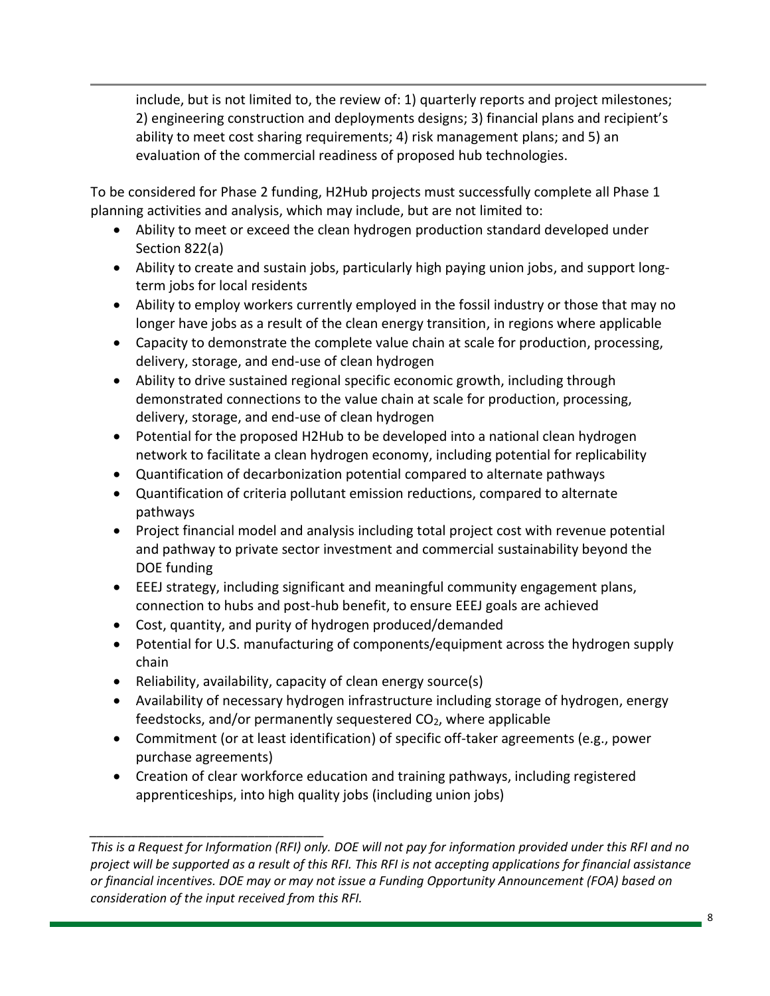include, but is not limited to, the review of: 1) quarterly reports and project milestones; 2) engineering construction and deployments designs; 3) financial plans and recipient's ability to meet cost sharing requirements; 4) risk management plans; and 5) an evaluation of the commercial readiness of proposed hub technologies.

To be considered for Phase 2 funding, H2Hub projects must successfully complete all Phase 1 planning activities and analysis, which may include, but are not limited to:

- Ability to meet or exceed the clean hydrogen production standard developed under Section 822(a)
- Ability to create and sustain jobs, particularly high paying union jobs, and support longterm jobs for local residents
- Ability to employ workers currently employed in the fossil industry or those that may no longer have jobs as a result of the clean energy transition, in regions where applicable
- Capacity to demonstrate the complete value chain at scale for production, processing, delivery, storage, and end-use of clean hydrogen
- Ability to drive sustained regional specific economic growth, including through demonstrated connections to the value chain at scale for production, processing, delivery, storage, and end-use of clean hydrogen
- Potential for the proposed H2Hub to be developed into a national clean hydrogen network to facilitate a clean hydrogen economy, including potential for replicability
- Quantification of decarbonization potential compared to alternate pathways
- Quantification of criteria pollutant emission reductions, compared to alternate pathways
- Project financial model and analysis including total project cost with revenue potential and pathway to private sector investment and commercial sustainability beyond the DOE funding
- EEEJ strategy, including significant and meaningful community engagement plans, connection to hubs and post-hub benefit, to ensure EEEJ goals are achieved
- Cost, quantity, and purity of hydrogen produced/demanded
- Potential for U.S. manufacturing of components/equipment across the hydrogen supply chain
- Reliability, availability, capacity of clean energy source(s)

- Availability of necessary hydrogen infrastructure including storage of hydrogen, energy feedstocks, and/or permanently sequestered  $CO<sub>2</sub>$ , where applicable
- Commitment (or at least identification) of specific off-taker agreements (e.g., power purchase agreements)
- Creation of clear workforce education and training pathways, including registered apprenticeships, into high quality jobs (including union jobs)

*This is a Request for Information (RFI) only. DOE will not pay for information provided under this RFI and no project will be supported as a result of this RFI. This RFI is not accepting applications for financial assistance or financial incentives. DOE may or may not issue a Funding Opportunity Announcement (FOA) based on consideration of the input received from this RFI.*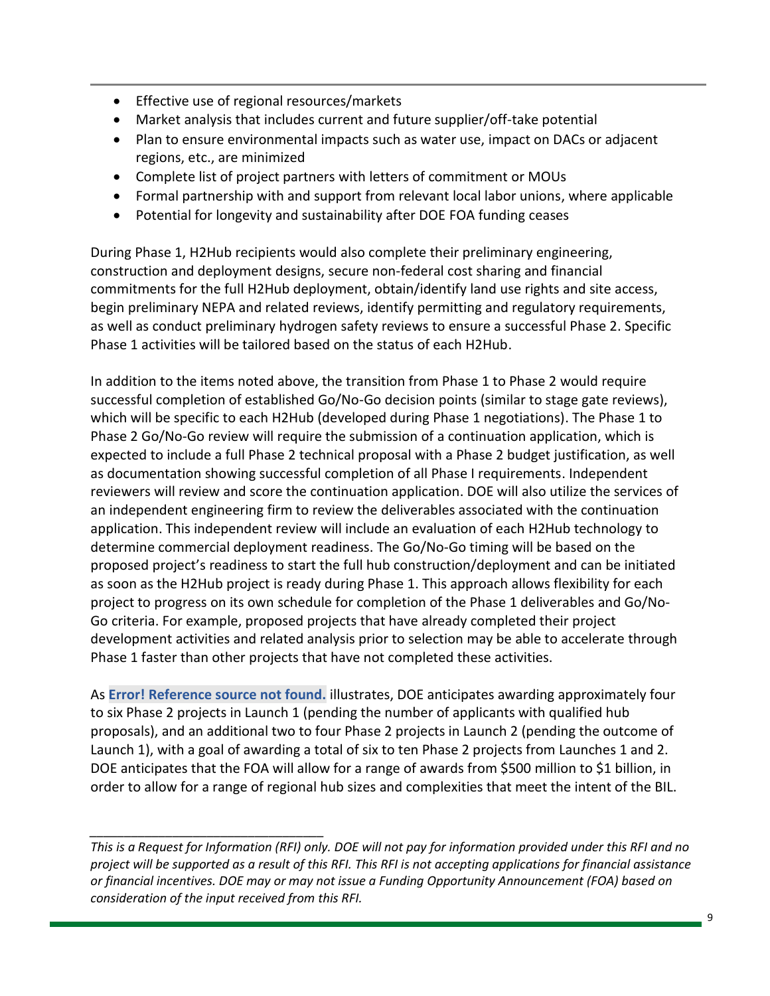- Effective use of regional resources/markets
- Market analysis that includes current and future supplier/off-take potential
- Plan to ensure environmental impacts such as water use, impact on DACs or adjacent regions, etc., are minimized
- Complete list of project partners with letters of commitment or MOUs
- Formal partnership with and support from relevant local labor unions, where applicable
- Potential for longevity and sustainability after DOE FOA funding ceases

During Phase 1, H2Hub recipients would also complete their preliminary engineering, construction and deployment designs, secure non-federal cost sharing and financial commitments for the full H2Hub deployment, obtain/identify land use rights and site access, begin preliminary NEPA and related reviews, identify permitting and regulatory requirements, as well as conduct preliminary hydrogen safety reviews to ensure a successful Phase 2. Specific Phase 1 activities will be tailored based on the status of each H2Hub.

In addition to the items noted above, the transition from Phase 1 to Phase 2 would require successful completion of established Go/No-Go decision points (similar to stage gate reviews), which will be specific to each H2Hub (developed during Phase 1 negotiations). The Phase 1 to Phase 2 Go/No-Go review will require the submission of a continuation application, which is expected to include a full Phase 2 technical proposal with a Phase 2 budget justification, as well as documentation showing successful completion of all Phase I requirements. Independent reviewers will review and score the continuation application. DOE will also utilize the services of an independent engineering firm to review the deliverables associated with the continuation application. This independent review will include an evaluation of each H2Hub technology to determine commercial deployment readiness. The Go/No-Go timing will be based on the proposed project's readiness to start the full hub construction/deployment and can be initiated as soon as the H2Hub project is ready during Phase 1. This approach allows flexibility for each project to progress on its own schedule for completion of the Phase 1 deliverables and Go/No-Go criteria. For example, proposed projects that have already completed their project development activities and related analysis prior to selection may be able to accelerate through Phase 1 faster than other projects that have not completed these activities.

As **Error! Reference source not found.** illustrates, DOE anticipates awarding approximately four to six Phase 2 projects in Launch 1 (pending the number of applicants with qualified hub proposals), and an additional two to four Phase 2 projects in Launch 2 (pending the outcome of Launch 1), with a goal of awarding a total of six to ten Phase 2 projects from Launches 1 and 2. DOE anticipates that the FOA will allow for a range of awards from \$500 million to \$1 billion, in order to allow for a range of regional hub sizes and complexities that meet the intent of the BIL.

*This is a Request for Information (RFI) only. DOE will not pay for information provided under this RFI and no project will be supported as a result of this RFI. This RFI is not accepting applications for financial assistance or financial incentives. DOE may or may not issue a Funding Opportunity Announcement (FOA) based on consideration of the input received from this RFI.*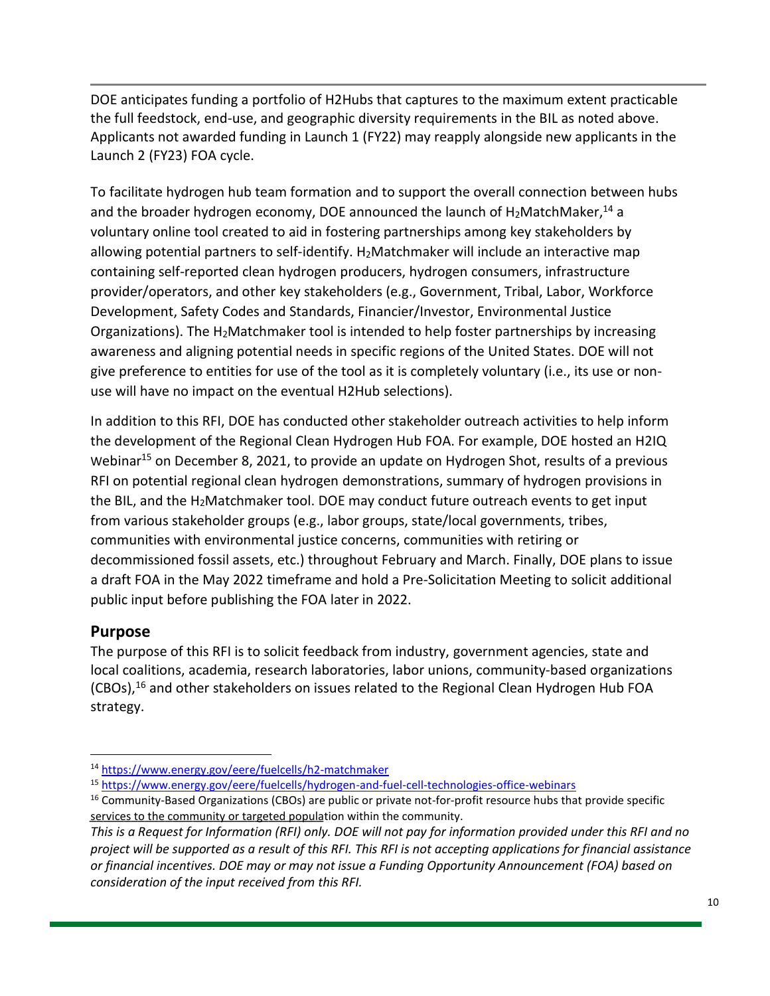DOE anticipates funding a portfolio of H2Hubs that captures to the maximum extent practicable the full feedstock, end-use, and geographic diversity requirements in the BIL as noted above. Applicants not awarded funding in Launch 1 (FY22) may reapply alongside new applicants in the Launch 2 (FY23) FOA cycle.

To facilitate hydrogen hub team formation and to support the overall connection between hubs and the broader hydrogen economy, DOE announced the launch of H<sub>2</sub>MatchMaker,<sup>14</sup> a voluntary online tool created to aid in fostering partnerships among key stakeholders by allowing potential partners to self-identify.  $H_2M$ atchmaker will include an interactive map containing self-reported clean hydrogen producers, hydrogen consumers, infrastructure provider/operators, and other key stakeholders (e.g., Government, Tribal, Labor, Workforce Development, Safety Codes and Standards, Financier/Investor, Environmental Justice Organizations). The H2Matchmaker tool is intended to help foster partnerships by increasing awareness and aligning potential needs in specific regions of the United States. DOE will not give preference to entities for use of the tool as it is completely voluntary (i.e., its use or nonuse will have no impact on the eventual H2Hub selections).

In addition to this RFI, DOE has conducted other stakeholder outreach activities to help inform the development of the Regional Clean Hydrogen Hub FOA. For example, DOE hosted an H2IQ Webinar<sup>15</sup> on December 8, 2021, to provide an update on Hydrogen Shot, results of a previous RFI on potential regional clean hydrogen demonstrations, summary of hydrogen provisions in the BIL, and the H2Matchmaker tool. DOE may conduct future outreach events to get input from various stakeholder groups (e.g., labor groups, state/local governments, tribes, communities with environmental justice concerns, communities with retiring or decommissioned fossil assets, etc.) throughout February and March. Finally, DOE plans to issue a draft FOA in the May 2022 timeframe and hold a Pre-Solicitation Meeting to solicit additional public input before publishing the FOA later in 2022.

## **Purpose**

The purpose of this RFI is to solicit feedback from industry, government agencies, state and local coalitions, academia, research laboratories, labor unions, community-based organizations (CBOs),<sup>16</sup> and other stakeholders on issues related to the Regional Clean Hydrogen Hub FOA strategy.

<sup>14</sup> <https://www.energy.gov/eere/fuelcells/h2-matchmaker>

<sup>15</sup> <https://www.energy.gov/eere/fuelcells/hydrogen-and-fuel-cell-technologies-office-webinars>

services to the community or targeted population within the community. <sup>16</sup> Community-Based Organizations (CBOs) are public or private not-for-profit resource hubs that provide specific

*This is a Request for Information (RFI) only. DOE will not pay for information provided under this RFI and no project will be supported as a result of this RFI. This RFI is not accepting applications for financial assistance or financial incentives. DOE may or may not issue a Funding Opportunity Announcement (FOA) based on consideration of the input received from this RFI.*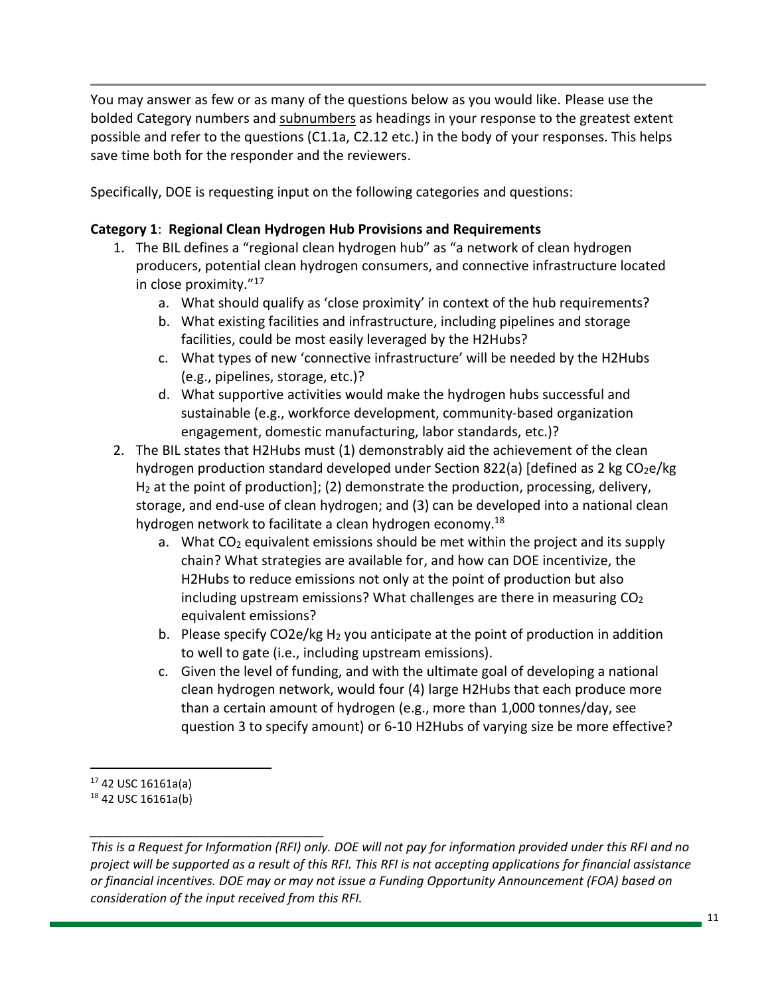You may answer as few or as many of the questions below as you would like. Please use the bolded Category numbers and subnumbers as headings in your response to the greatest extent possible and refer to the questions (C1.1a, C2.12 etc.) in the body of your responses. This helps save time both for the responder and the reviewers.

Specifically, DOE is requesting input on the following categories and questions:

### **Category 1**: **Regional Clean Hydrogen Hub Provisions and Requirements**

- 1. The BIL defines a "regional clean hydrogen hub" as "a network of clean hydrogen producers, potential clean hydrogen consumers, and connective infrastructure located in close proximity."<sup>17</sup>
	- a. What should qualify as 'close proximity' in context of the hub requirements?
	- b. What existing facilities and infrastructure, including pipelines and storage facilities, could be most easily leveraged by the H2Hubs?
	- c. What types of new 'connective infrastructure' will be needed by the H2Hubs (e.g., pipelines, storage, etc.)?
	- d. What supportive activities would make the hydrogen hubs successful and sustainable (e.g., workforce development, community-based organization engagement, domestic manufacturing, labor standards, etc.)?
- 2. The BIL states that H2Hubs must (1) demonstrably aid the achievement of the clean hydrogen production standard developed under Section 822(a) [defined as 2 kg  $CO<sub>2</sub>e/kg$ H<sup>2</sup> at the point of production]; (2) demonstrate the production, processing, delivery, storage, and end-use of clean hydrogen; and (3) can be developed into a national clean hydrogen network to facilitate a clean hydrogen economy.<sup>18</sup>
	- a. What  $CO<sub>2</sub>$  equivalent emissions should be met within the project and its supply chain? What strategies are available for, and how can DOE incentivize, the H2Hubs to reduce emissions not only at the point of production but also including upstream emissions? What challenges are there in measuring  $CO<sub>2</sub>$ equivalent emissions?
	- b. Please specify CO2e/kg  $H_2$  you anticipate at the point of production in addition to well to gate (i.e., including upstream emissions).
	- c. Given the level of funding, and with the ultimate goal of developing a national clean hydrogen network, would four (4) large H2Hubs that each produce more than a certain amount of hydrogen (e.g., more than 1,000 tonnes/day, see question 3 to specify amount) or 6-10 H2Hubs of varying size be more effective?

 $17$  42 USC 16161a(a)

<sup>18</sup> 42 USC 16161a(b)

*This is a Request for Information (RFI) only. DOE will not pay for information provided under this RFI and no project will be supported as a result of this RFI. This RFI is not accepting applications for financial assistance or financial incentives. DOE may or may not issue a Funding Opportunity Announcement (FOA) based on consideration of the input received from this RFI.*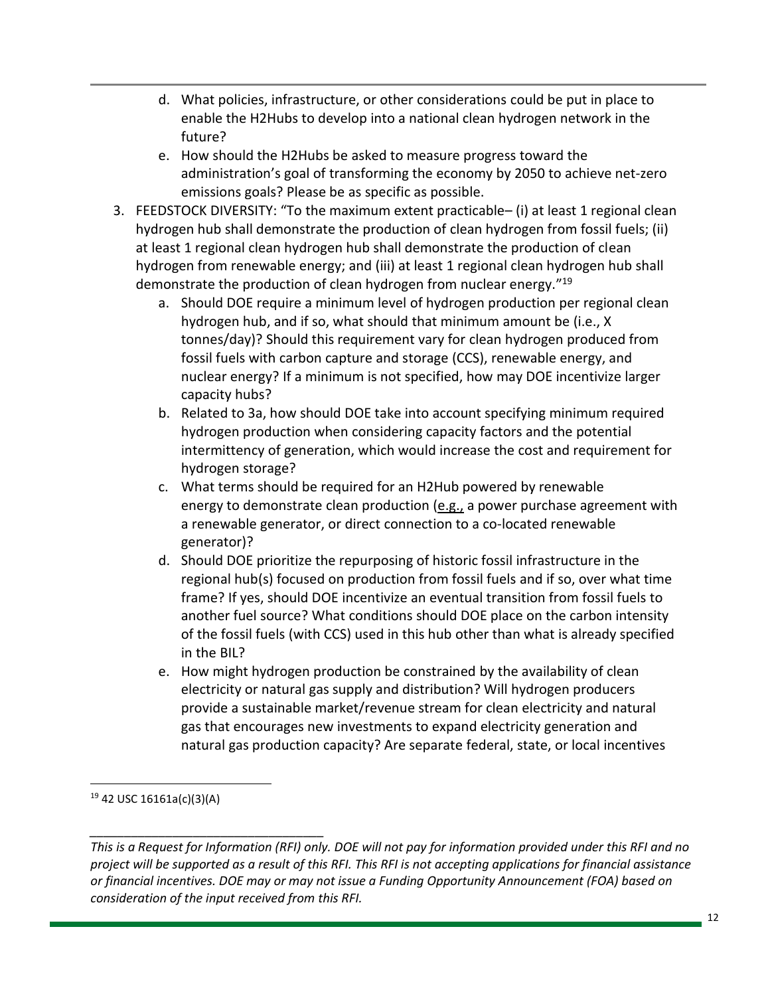- d. What policies, infrastructure, or other considerations could be put in place to enable the H2Hubs to develop into a national clean hydrogen network in the future?
- e. How should the H2Hubs be asked to measure progress toward the administration's goal of transforming the economy by 2050 to achieve net-zero emissions goals? Please be as specific as possible.
- 3. FEEDSTOCK DIVERSITY: "To the maximum extent practicable– (i) at least 1 regional clean hydrogen hub shall demonstrate the production of clean hydrogen from fossil fuels; (ii) at least 1 regional clean hydrogen hub shall demonstrate the production of clean hydrogen from renewable energy; and (iii) at least 1 regional clean hydrogen hub shall demonstrate the production of clean hydrogen from nuclear energy."<sup>19</sup>
	- a. Should DOE require a minimum level of hydrogen production per regional clean hydrogen hub, and if so, what should that minimum amount be (i.e., X tonnes/day)? Should this requirement vary for clean hydrogen produced from fossil fuels with carbon capture and storage (CCS), renewable energy, and nuclear energy? If a minimum is not specified, how may DOE incentivize larger capacity hubs?
	- b. Related to 3a, how should DOE take into account specifying minimum required hydrogen production when considering capacity factors and the potential intermittency of generation, which would increase the cost and requirement for hydrogen storage?
	- c. What terms should be required for an H2Hub powered by renewable energy to demonstrate clean production (e.g., a power purchase agreement with a renewable generator, or direct connection to a co-located renewable generator)?
	- d. Should DOE prioritize the repurposing of historic fossil infrastructure in the regional hub(s) focused on production from fossil fuels and if so, over what time frame? If yes, should DOE incentivize an eventual transition from fossil fuels to another fuel source? What conditions should DOE place on the carbon intensity of the fossil fuels (with CCS) used in this hub other than what is already specified in the BIL?
	- e. How might hydrogen production be constrained by the availability of clean electricity or natural gas supply and distribution? Will hydrogen producers provide a sustainable market/revenue stream for clean electricity and natural gas that encourages new investments to expand electricity generation and natural gas production capacity? Are separate federal, state, or local incentives

<sup>19</sup> 42 USC 16161a(c)(3)(A)

*This is a Request for Information (RFI) only. DOE will not pay for information provided under this RFI and no project will be supported as a result of this RFI. This RFI is not accepting applications for financial assistance or financial incentives. DOE may or may not issue a Funding Opportunity Announcement (FOA) based on consideration of the input received from this RFI.*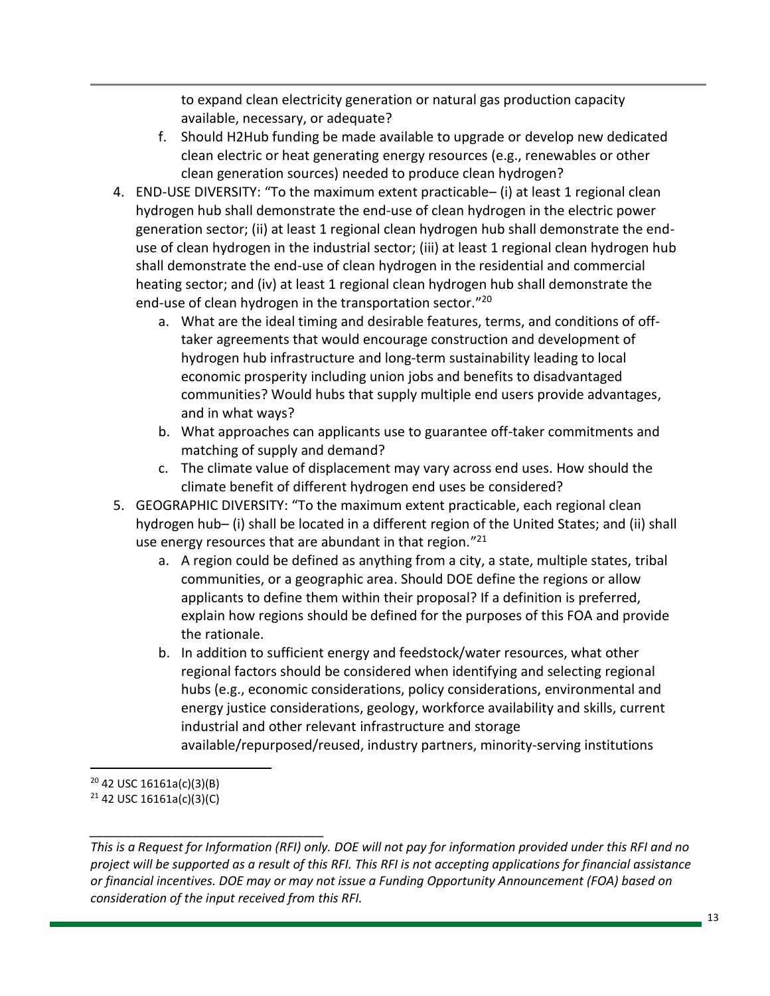to expand clean electricity generation or natural gas production capacity available, necessary, or adequate?

- f. Should H2Hub funding be made available to upgrade or develop new dedicated clean electric or heat generating energy resources (e.g., renewables or other clean generation sources) needed to produce clean hydrogen?
- 4. END-USE DIVERSITY: "To the maximum extent practicable– (i) at least 1 regional clean hydrogen hub shall demonstrate the end-use of clean hydrogen in the electric power generation sector; (ii) at least 1 regional clean hydrogen hub shall demonstrate the enduse of clean hydrogen in the industrial sector; (iii) at least 1 regional clean hydrogen hub shall demonstrate the end-use of clean hydrogen in the residential and commercial heating sector; and (iv) at least 1 regional clean hydrogen hub shall demonstrate the end-use of clean hydrogen in the transportation sector." 20
	- a. What are the ideal timing and desirable features, terms, and conditions of offtaker agreements that would encourage construction and development of hydrogen hub infrastructure and long-term sustainability leading to local economic prosperity including union jobs and benefits to disadvantaged communities? Would hubs that supply multiple end users provide advantages, and in what ways?
	- b. What approaches can applicants use to guarantee off-taker commitments and matching of supply and demand?
	- c. The climate value of displacement may vary across end uses. How should the climate benefit of different hydrogen end uses be considered?
- 5. GEOGRAPHIC DIVERSITY: "To the maximum extent practicable, each regional clean hydrogen hub– (i) shall be located in a different region of the United States; and (ii) shall use energy resources that are abundant in that region."<sup>21</sup>
	- a. A region could be defined as anything from a city, a state, multiple states, tribal communities, or a geographic area. Should DOE define the regions or allow applicants to define them within their proposal? If a definition is preferred, explain how regions should be defined for the purposes of this FOA and provide the rationale.
	- b. In addition to sufficient energy and feedstock/water resources, what other regional factors should be considered when identifying and selecting regional hubs (e.g., economic considerations, policy considerations, environmental and energy justice considerations, geology, workforce availability and skills, current industrial and other relevant infrastructure and storage available/repurposed/reused, industry partners, minority-serving institutions

 $20$  42 USC 16161a(c)(3)(B) <sup>21</sup> 42 USC 16161a(c)(3)(C)

*This is a Request for Information (RFI) only. DOE will not pay for information provided under this RFI and no project will be supported as a result of this RFI. This RFI is not accepting applications for financial assistance or financial incentives. DOE may or may not issue a Funding Opportunity Announcement (FOA) based on consideration of the input received from this RFI.*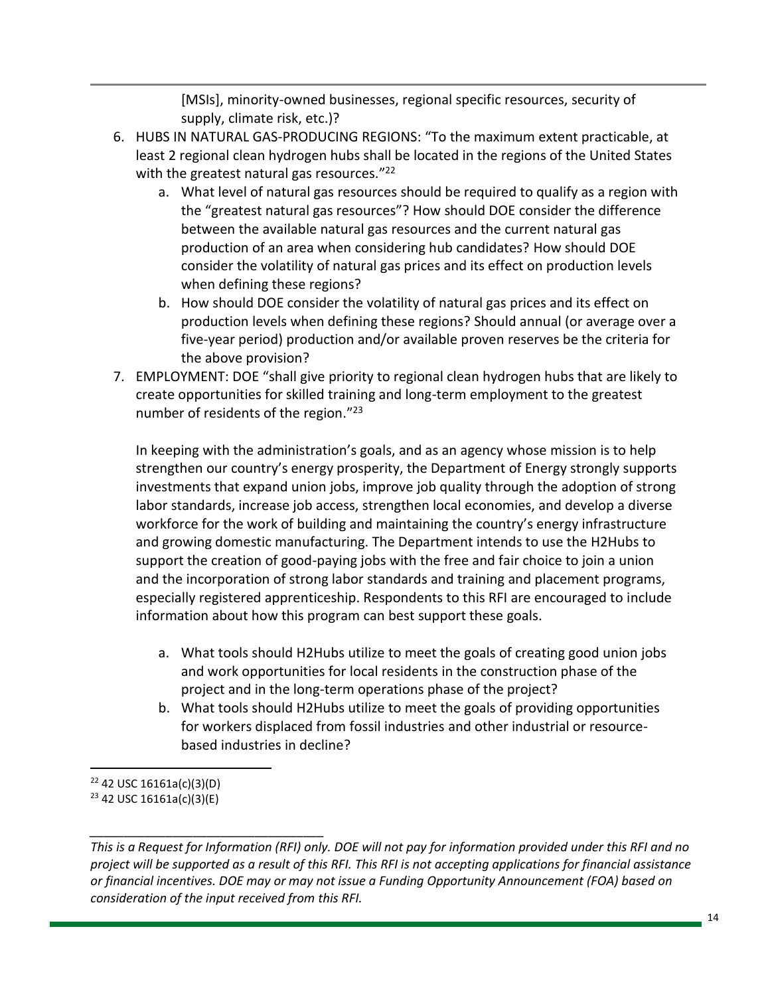[MSIs], minority-owned businesses, regional specific resources, security of supply, climate risk, etc.)?

- 6. HUBS IN NATURAL GAS-PRODUCING REGIONS: "To the maximum extent practicable, at least 2 regional clean hydrogen hubs shall be located in the regions of the United States with the greatest natural gas resources."<sup>22</sup>
	- a. What level of natural gas resources should be required to qualify as a region with the "greatest natural gas resources"? How should DOE consider the difference between the available natural gas resources and the current natural gas production of an area when considering hub candidates? How should DOE consider the volatility of natural gas prices and its effect on production levels when defining these regions?
	- b. How should DOE consider the volatility of natural gas prices and its effect on production levels when defining these regions? Should annual (or average over a five-year period) production and/or available proven reserves be the criteria for the above provision?
- 7. EMPLOYMENT: DOE "shall give priority to regional clean hydrogen hubs that are likely to create opportunities for skilled training and long-term employment to the greatest number of residents of the region."<sup>23</sup>

In keeping with the administration's goals, and as an agency whose mission is to help strengthen our country's energy prosperity, the Department of Energy strongly supports investments that expand union jobs, improve job quality through the adoption of strong labor standards, increase job access, strengthen local economies, and develop a diverse workforce for the work of building and maintaining the country's energy infrastructure and growing domestic manufacturing. The Department intends to use the H2Hubs to support the creation of good-paying jobs with the free and fair choice to join a union and the incorporation of strong labor standards and training and placement programs, especially registered apprenticeship. Respondents to this RFI are encouraged to include information about how this program can best support these goals.

- a. What tools should H2Hubs utilize to meet the goals of creating good union jobs and work opportunities for local residents in the construction phase of the project and in the long-term operations phase of the project?
- b. What tools should H2Hubs utilize to meet the goals of providing opportunities for workers displaced from fossil industries and other industrial or resourcebased industries in decline?

 $22$  42 USC 16161a(c)(3)(D) <sup>23</sup> 42 USC 16161a(c)(3)(E)

*\_\_\_\_\_\_\_\_\_\_\_\_\_\_\_\_\_\_\_\_\_\_\_\_\_\_\_\_\_\_\_\_\_\_*

*This is a Request for Information (RFI) only. DOE will not pay for information provided under this RFI and no project will be supported as a result of this RFI. This RFI is not accepting applications for financial assistance or financial incentives. DOE may or may not issue a Funding Opportunity Announcement (FOA) based on consideration of the input received from this RFI.*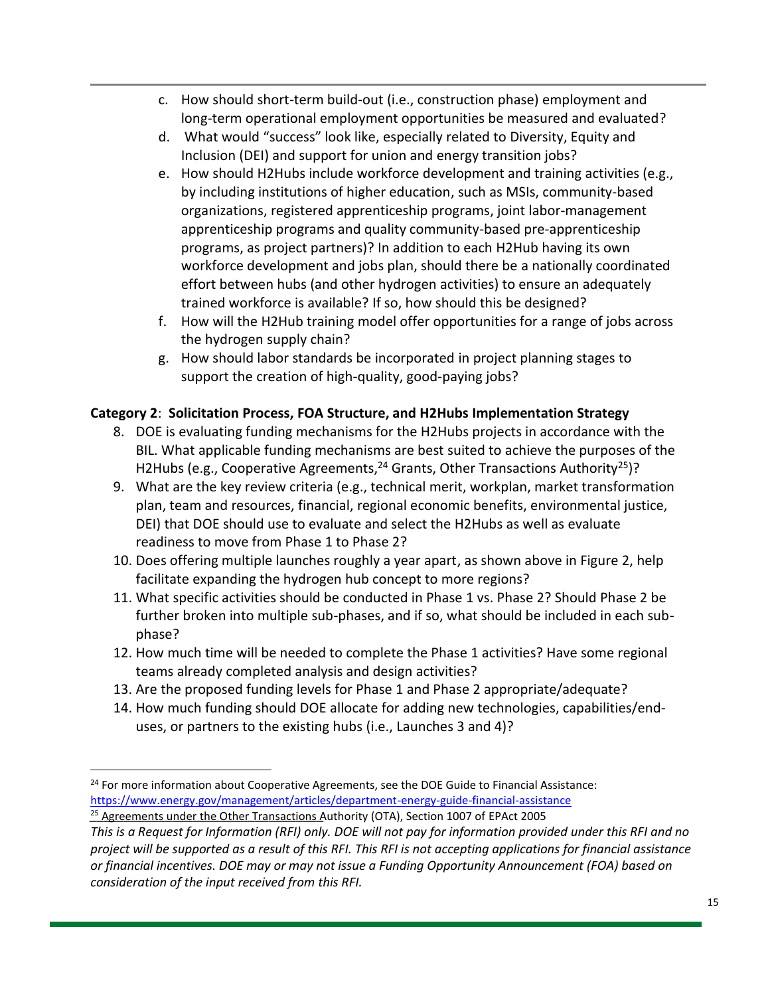- c. How should short-term build-out (i.e., construction phase) employment and long-term operational employment opportunities be measured and evaluated?
- d. What would "success" look like, especially related to Diversity, Equity and Inclusion (DEI) and support for union and energy transition jobs?
- e. How should H2Hubs include workforce development and training activities (e.g., by including institutions of higher education, such as MSIs, community-based organizations, registered apprenticeship programs, joint labor-management apprenticeship programs and quality community-based pre-apprenticeship programs, as project partners)? In addition to each H2Hub having its own workforce development and jobs plan, should there be a nationally coordinated effort between hubs (and other hydrogen activities) to ensure an adequately trained workforce is available? If so, how should this be designed?
- f. How will the H2Hub training model offer opportunities for a range of jobs across the hydrogen supply chain?
- g. How should labor standards be incorporated in project planning stages to support the creation of high-quality, good-paying jobs?

### **Category 2**: **Solicitation Process, FOA Structure, and H2Hubs Implementation Strategy**

- 8. DOE is evaluating funding mechanisms for the H2Hubs projects in accordance with the BIL. What applicable funding mechanisms are best suited to achieve the purposes of the H2Hubs (e.g., Cooperative Agreements,<sup>24</sup> Grants, Other Transactions Authority<sup>25</sup>)?
- 9. What are the key review criteria (e.g., technical merit, workplan, market transformation plan, team and resources, financial, regional economic benefits, environmental justice, DEI) that DOE should use to evaluate and select the H2Hubs as well as evaluate readiness to move from Phase 1 to Phase 2?
- 10. Does offering multiple launches roughly a year apart, as shown above in Figure 2, help facilitate expanding the hydrogen hub concept to more regions?
- 11. What specific activities should be conducted in Phase 1 vs. Phase 2? Should Phase 2 be further broken into multiple sub-phases, and if so, what should be included in each subphase?
- 12. How much time will be needed to complete the Phase 1 activities? Have some regional teams already completed analysis and design activities?
- 13. Are the proposed funding levels for Phase 1 and Phase 2 appropriate/adequate?
- 14. How much funding should DOE allocate for adding new technologies, capabilities/enduses, or partners to the existing hubs (i.e., Launches 3 and 4)?

<sup>&</sup>lt;sup>25</sup> Agreements under the Other Transactions Authority (OTA), Section 1007 of EPAct 2005 <sup>24</sup> For more information about Cooperative Agreements, see the DOE Guide to Financial Assistance: <https://www.energy.gov/management/articles/department-energy-guide-financial-assistance>

*This is a Request for Information (RFI) only. DOE will not pay for information provided under this RFI and no project will be supported as a result of this RFI. This RFI is not accepting applications for financial assistance or financial incentives. DOE may or may not issue a Funding Opportunity Announcement (FOA) based on consideration of the input received from this RFI.*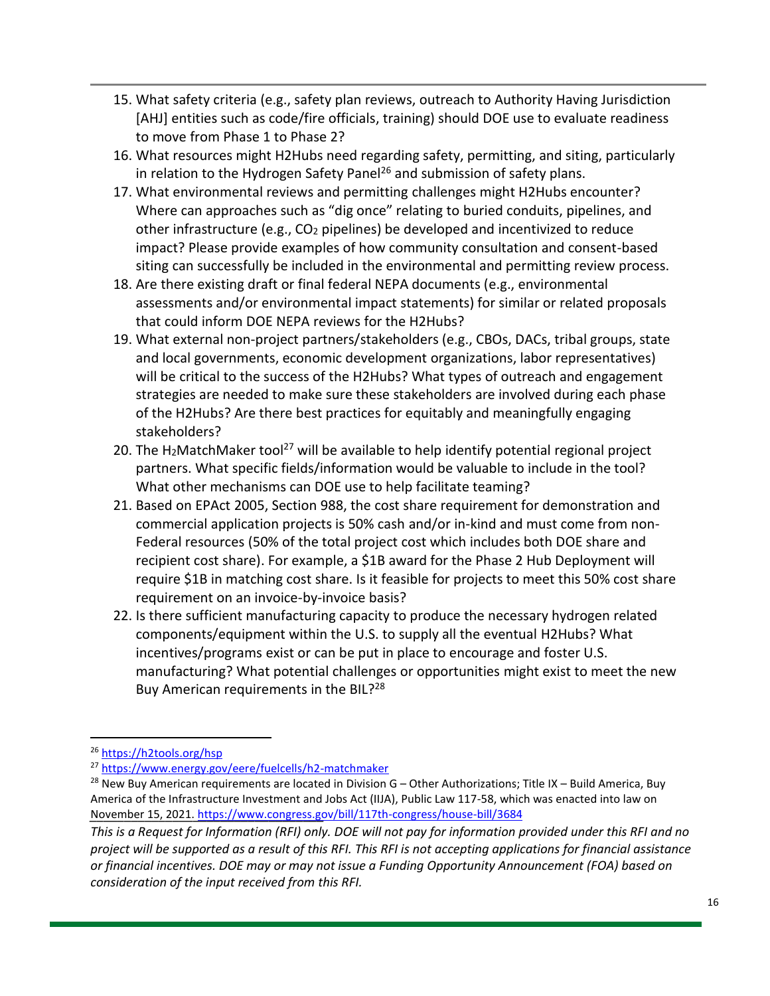- 15. What safety criteria (e.g., safety plan reviews, outreach to Authority Having Jurisdiction [AHJ] entities such as code/fire officials, training) should DOE use to evaluate readiness to move from Phase 1 to Phase 2?
- 16. What resources might H2Hubs need regarding safety, permitting, and siting, particularly in relation to the Hydrogen Safety Panel<sup>26</sup> and submission of safety plans.
- 17. What environmental reviews and permitting challenges might H2Hubs encounter? Where can approaches such as "dig once" relating to buried conduits, pipelines, and other infrastructure (e.g., CO<sup>2</sup> pipelines) be developed and incentivized to reduce impact? Please provide examples of how community consultation and consent-based siting can successfully be included in the environmental and permitting review process.
- 18. Are there existing draft or final federal NEPA documents (e.g., environmental assessments and/or environmental impact statements) for similar or related proposals that could inform DOE NEPA reviews for the H2Hubs?
- 19. What external non-project partners/stakeholders (e.g., CBOs, DACs, tribal groups, state and local governments, economic development organizations, labor representatives) will be critical to the success of the H2Hubs? What types of outreach and engagement strategies are needed to make sure these stakeholders are involved during each phase of the H2Hubs? Are there best practices for equitably and meaningfully engaging stakeholders?
- 20. The H<sub>2</sub>MatchMaker tool<sup>27</sup> will be available to help identify potential regional project partners. What specific fields/information would be valuable to include in the tool? What other mechanisms can DOE use to help facilitate teaming?
- 21. Based on EPAct 2005, Section 988, the cost share requirement for demonstration and commercial application projects is 50% cash and/or in-kind and must come from non-Federal resources (50% of the total project cost which includes both DOE share and recipient cost share). For example, a \$1B award for the Phase 2 Hub Deployment will require \$1B in matching cost share. Is it feasible for projects to meet this 50% cost share requirement on an invoice-by-invoice basis?
- 22. Is there sufficient manufacturing capacity to produce the necessary hydrogen related components/equipment within the U.S. to supply all the eventual H2Hubs? What incentives/programs exist or can be put in place to encourage and foster U.S. manufacturing? What potential challenges or opportunities might exist to meet the new Buy American requirements in the BIL?<sup>28</sup>

<sup>26</sup> <https://h2tools.org/hsp>

<sup>27</sup> <https://www.energy.gov/eere/fuelcells/h2-matchmaker>

*\_\_\_\_\_\_\_\_\_\_\_\_\_\_\_\_\_\_\_\_\_\_\_\_\_\_\_\_\_\_\_\_\_\_* November 15, 2021.<https://www.congress.gov/bill/117th-congress/house-bill/3684> $^{28}$  New Buy American requirements are located in Division G – Other Authorizations; Title IX – Build America, Buy America of the Infrastructure Investment and Jobs Act (IIJA), Public Law 117-58, which was enacted into law on

*This is a Request for Information (RFI) only. DOE will not pay for information provided under this RFI and no project will be supported as a result of this RFI. This RFI is not accepting applications for financial assistance or financial incentives. DOE may or may not issue a Funding Opportunity Announcement (FOA) based on consideration of the input received from this RFI.*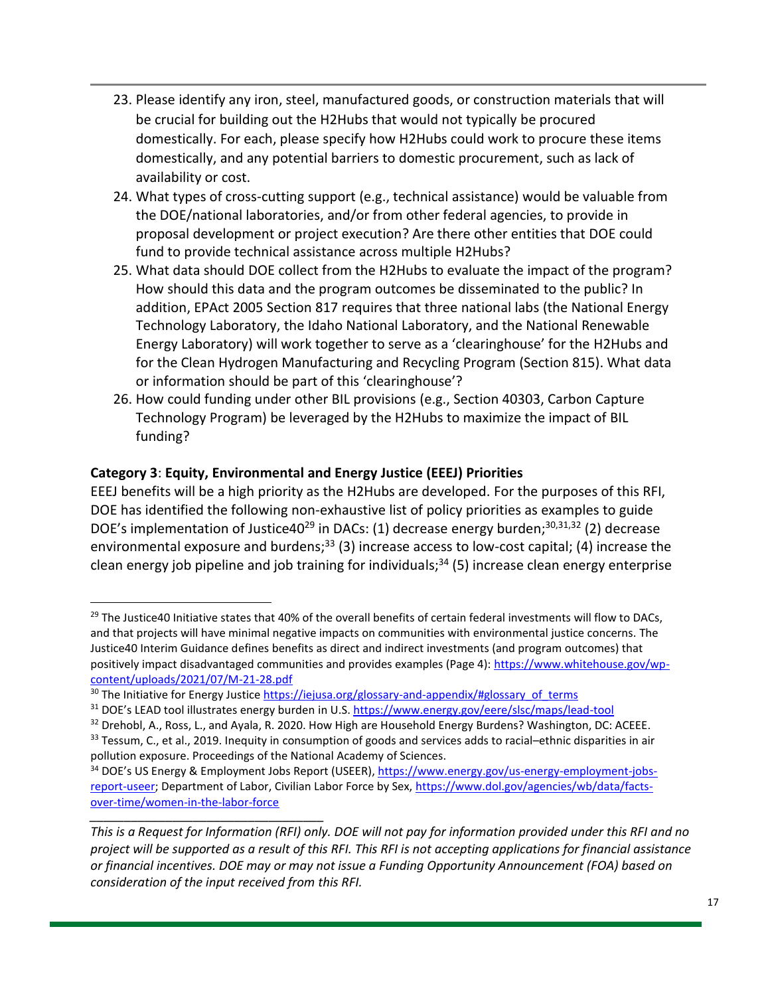- 23. Please identify any iron, steel, manufactured goods, or construction materials that will be crucial for building out the H2Hubs that would not typically be procured domestically. For each, please specify how H2Hubs could work to procure these items domestically, and any potential barriers to domestic procurement, such as lack of availability or cost.
- 24. What types of cross-cutting support (e.g., technical assistance) would be valuable from the DOE/national laboratories, and/or from other federal agencies, to provide in proposal development or project execution? Are there other entities that DOE could fund to provide technical assistance across multiple H2Hubs?
- 25. What data should DOE collect from the H2Hubs to evaluate the impact of the program? How should this data and the program outcomes be disseminated to the public? In addition, EPAct 2005 Section 817 requires that three national labs (the National Energy Technology Laboratory, the Idaho National Laboratory, and the National Renewable Energy Laboratory) will work together to serve as a 'clearinghouse' for the H2Hubs and for the Clean Hydrogen Manufacturing and Recycling Program (Section 815). What data or information should be part of this 'clearinghouse'?
- 26. How could funding under other BIL provisions (e.g., Section 40303, Carbon Capture Technology Program) be leveraged by the H2Hubs to maximize the impact of BIL funding?

### **Category 3**: **Equity, Environmental and Energy Justice (EEEJ) Priorities**

EEEJ benefits will be a high priority as the H2Hubs are developed. For the purposes of this RFI, DOE has identified the following non-exhaustive list of policy priorities as examples to guide DOE's implementation of Justice40<sup>29</sup> in DACs: (1) decrease energy burden;<sup>30,31,32</sup> (2) decrease environmental exposure and burdens;<sup>33</sup> (3) increase access to low-cost capital; (4) increase the clean energy job pipeline and job training for individuals;<sup>34</sup> (5) increase clean energy enterprise

<sup>32</sup> Drehobl, A., Ross, L., and Ayala, R. 2020. How High are Household Energy Burdens? Washington, DC: ACEEE.

 $29$  The Justice40 Initiative states that 40% of the overall benefits of certain federal investments will flow to DACs, and that projects will have minimal negative impacts on communities with environmental justice concerns. The Justice40 Interim Guidance defines benefits as direct and indirect investments (and program outcomes) that positively impact disadvantaged communities and provides examples (Page 4): [https://www.whitehouse.gov/wp](https://www.whitehouse.gov/wp-content/uploads/2021/07/M-21-28.pdf)[content/uploads/2021/07/M-21-28.pdf](https://www.whitehouse.gov/wp-content/uploads/2021/07/M-21-28.pdf)

<sup>&</sup>lt;sup>30</sup> The Initiative for Energy Justic[e https://iejusa.org/glossary-and-appendix/#glossary\\_of\\_terms](https://iejusa.org/glossary-and-appendix/#glossary_of_terms)

<sup>31</sup> DOE's LEAD tool illustrates energy burden in U.S. <https://www.energy.gov/eere/slsc/maps/lead-tool>

<sup>33</sup> Tessum, C., et al., 2019. Inequity in consumption of goods and services adds to racial–ethnic disparities in air pollution exposure. Proceedings of the National Academy of Sciences.

*\_\_\_\_\_\_\_\_\_\_\_\_\_\_\_\_\_\_\_\_\_\_\_\_\_\_\_\_\_\_\_\_\_\_* 34 DOE's US Energy & Employment Jobs Report (USEER)[, https://www.energy.gov/us-energy-employment-jobs](https://www.energy.gov/us-energy-employment-jobs-report-useer)[report-useer;](https://www.energy.gov/us-energy-employment-jobs-report-useer) Department of Labor, Civilian Labor Force by Sex[, https://www.dol.gov/agencies/wb/data/facts](https://www.dol.gov/agencies/wb/data/facts-over-time/women-in-the-labor-force)[over-time/women-in-the-labor-force](https://www.dol.gov/agencies/wb/data/facts-over-time/women-in-the-labor-force)

*This is a Request for Information (RFI) only. DOE will not pay for information provided under this RFI and no project will be supported as a result of this RFI. This RFI is not accepting applications for financial assistance or financial incentives. DOE may or may not issue a Funding Opportunity Announcement (FOA) based on consideration of the input received from this RFI.*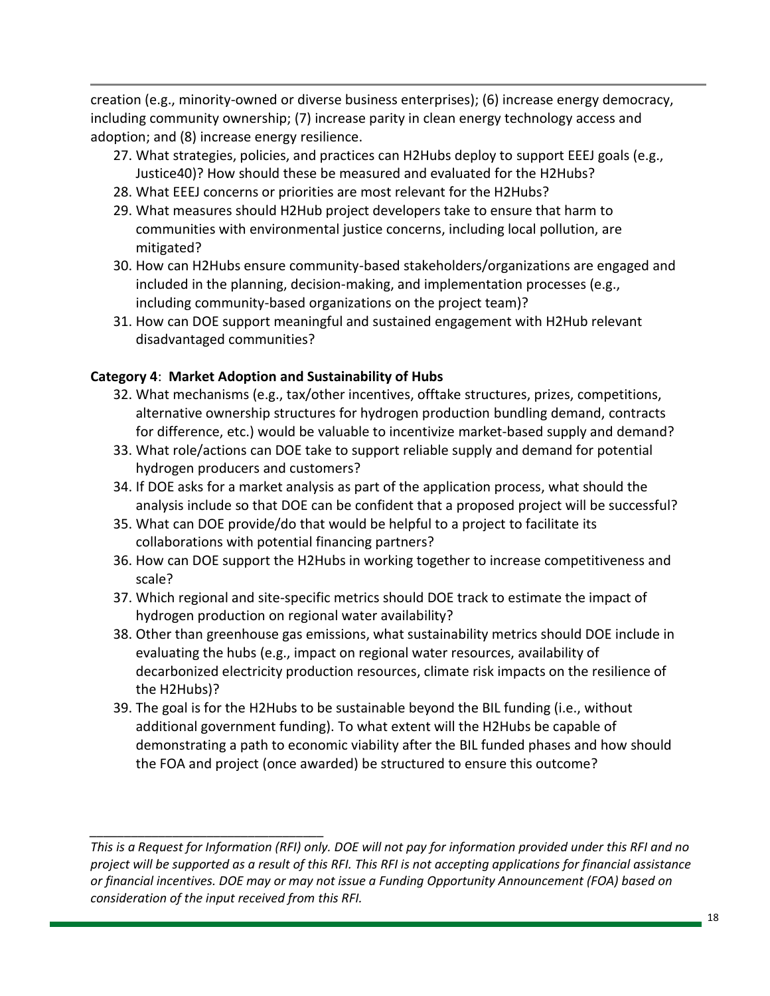creation (e.g., minority-owned or diverse business enterprises); (6) increase energy democracy, including community ownership; (7) increase parity in clean energy technology access and adoption; and (8) increase energy resilience.

- 27. What strategies, policies, and practices can H2Hubs deploy to support EEEJ goals (e.g., Justice40)? How should these be measured and evaluated for the H2Hubs?
- 28. What EEEJ concerns or priorities are most relevant for the H2Hubs?
- 29. What measures should H2Hub project developers take to ensure that harm to communities with environmental justice concerns, including local pollution, are mitigated?
- 30. How can H2Hubs ensure community-based stakeholders/organizations are engaged and included in the planning, decision-making, and implementation processes (e.g., including community-based organizations on the project team)?
- 31. How can DOE support meaningful and sustained engagement with H2Hub relevant disadvantaged communities?

### **Category 4**: **Market Adoption and Sustainability of Hubs**

- 32. What mechanisms (e.g., tax/other incentives, offtake structures, prizes, competitions, alternative ownership structures for hydrogen production bundling demand, contracts for difference, etc.) would be valuable to incentivize market-based supply and demand?
- 33. What role/actions can DOE take to support reliable supply and demand for potential hydrogen producers and customers?
- 34. If DOE asks for a market analysis as part of the application process, what should the analysis include so that DOE can be confident that a proposed project will be successful?
- 35. What can DOE provide/do that would be helpful to a project to facilitate its collaborations with potential financing partners?
- 36. How can DOE support the H2Hubs in working together to increase competitiveness and scale?
- 37. Which regional and site-specific metrics should DOE track to estimate the impact of hydrogen production on regional water availability?
- 38. Other than greenhouse gas emissions, what sustainability metrics should DOE include in evaluating the hubs (e.g., impact on regional water resources, availability of decarbonized electricity production resources, climate risk impacts on the resilience of the H2Hubs)?
- 39. The goal is for the H2Hubs to be sustainable beyond the BIL funding (i.e., without additional government funding). To what extent will the H2Hubs be capable of demonstrating a path to economic viability after the BIL funded phases and how should the FOA and project (once awarded) be structured to ensure this outcome?

*This is a Request for Information (RFI) only. DOE will not pay for information provided under this RFI and no project will be supported as a result of this RFI. This RFI is not accepting applications for financial assistance or financial incentives. DOE may or may not issue a Funding Opportunity Announcement (FOA) based on consideration of the input received from this RFI.*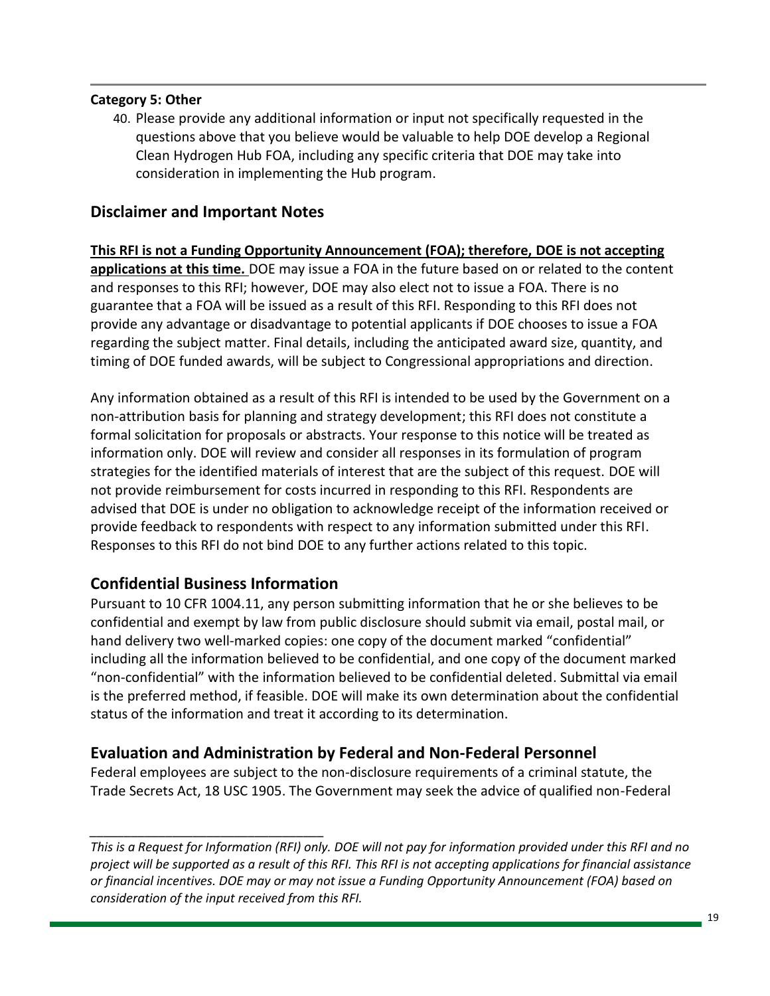#### **Category 5: Other**

40. Please provide any additional information or input not specifically requested in the questions above that you believe would be valuable to help DOE develop a Regional Clean Hydrogen Hub FOA, including any specific criteria that DOE may take into consideration in implementing the Hub program.

# **Disclaimer and Important Notes**

**This RFI is not a Funding Opportunity Announcement (FOA); therefore, DOE is not accepting applications at this time.** DOE may issue a FOA in the future based on or related to the content and responses to this RFI; however, DOE may also elect not to issue a FOA. There is no guarantee that a FOA will be issued as a result of this RFI. Responding to this RFI does not provide any advantage or disadvantage to potential applicants if DOE chooses to issue a FOA regarding the subject matter. Final details, including the anticipated award size, quantity, and timing of DOE funded awards, will be subject to Congressional appropriations and direction.

Any information obtained as a result of this RFI is intended to be used by the Government on a non-attribution basis for planning and strategy development; this RFI does not constitute a formal solicitation for proposals or abstracts. Your response to this notice will be treated as information only. DOE will review and consider all responses in its formulation of program strategies for the identified materials of interest that are the subject of this request. DOE will not provide reimbursement for costs incurred in responding to this RFI. Respondents are advised that DOE is under no obligation to acknowledge receipt of the information received or provide feedback to respondents with respect to any information submitted under this RFI. Responses to this RFI do not bind DOE to any further actions related to this topic.

## **Confidential Business Information**

*\_\_\_\_\_\_\_\_\_\_\_\_\_\_\_\_\_\_\_\_\_\_\_\_\_\_\_\_\_\_\_\_\_\_*

Pursuant to 10 CFR 1004.11, any person submitting information that he or she believes to be confidential and exempt by law from public disclosure should submit via email, postal mail, or hand delivery two well-marked copies: one copy of the document marked "confidential" including all the information believed to be confidential, and one copy of the document marked "non-confidential" with the information believed to be confidential deleted. Submittal via email is the preferred method, if feasible. DOE will make its own determination about the confidential status of the information and treat it according to its determination.

## **Evaluation and Administration by Federal and Non-Federal Personnel**

Federal employees are subject to the non-disclosure requirements of a criminal statute, the Trade Secrets Act, 18 USC 1905. The Government may seek the advice of qualified non-Federal

*This is a Request for Information (RFI) only. DOE will not pay for information provided under this RFI and no project will be supported as a result of this RFI. This RFI is not accepting applications for financial assistance or financial incentives. DOE may or may not issue a Funding Opportunity Announcement (FOA) based on consideration of the input received from this RFI.*